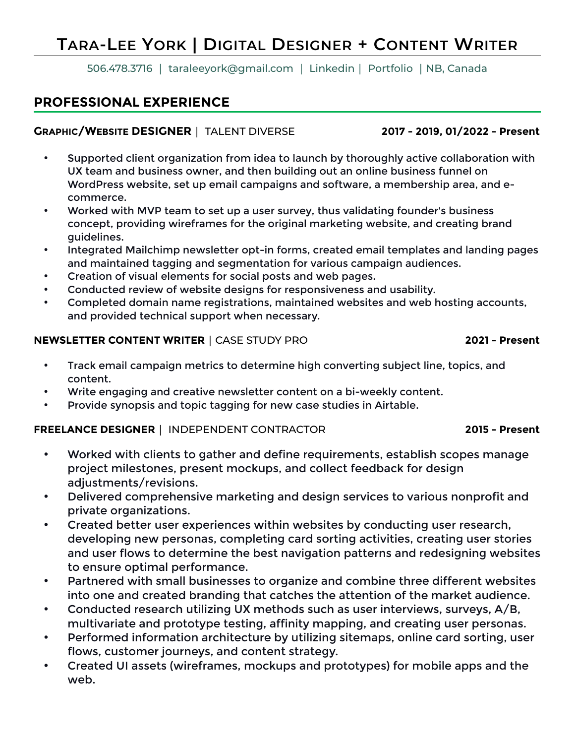# **TARA-LEE YORK | DIGITAL DESIGNER + CONTENT WRITER**

506.478.3716 │ [taraleeyork@gmail.com](mailto:taraleeyork@gmail.com) │ [Linkedin](https://www.linkedin.com/in/taraleeyork/)│ [Portfolio](https://www.taraleeyork.com) │NB, Canada

# **PROFESSIONAL EXPERIENCE**

#### **GRAPHIC/WEBSITE DESIGNER│** TALENT DIVERSE **2017 - 2019, 01/2022 - Present**

- Supported client organization from idea to launch by thoroughly active collaboration with UX team and business owner, and then building out an online business funnel on WordPress website, set up email campaigns and software, a membership area, and ecommerce.
- Worked with MVP team to set up a user survey, thus validating founder's business concept, providing wireframes for the original marketing website, and creating brand guidelines.
- Integrated Mailchimp newsletter opt-in forms, created email templates and landing pages and maintained tagging and segmentation for various campaign audiences.
- Creation of visual elements for social posts and web pages.
- Conducted review of website designs for responsiveness and usability.
- Completed domain name registrations, maintained websites and web hosting accounts, and provided technical support when necessary.

#### **NEWSLETTER CONTENT WRITER│**CASE STUDY PRO **2021 - Present**

- Track email campaign metrics to determine high converting subject line, topics, and content.
- Write engaging and creative newsletter content on a bi-weekly content.
- Provide synopsis and topic tagging for new case studies in Airtable.

### **FREELANCE DESIGNER│** INDEPENDENT CONTRACTOR **2015 - Present**

- Worked with clients to gather and define requirements, establish scopes manage project milestones, present mockups, and collect feedback for design adjustments/revisions.
- Delivered comprehensive marketing and design services to various nonprofit and private organizations.
- Created better user experiences within websites by conducting user research, developing new personas, completing card sorting activities, creating user stories and user flows to determine the best navigation patterns and redesigning websites to ensure optimal performance.
- Partnered with small businesses to organize and combine three different websites into one and created branding that catches the attention of the market audience.
- Conducted research utilizing UX methods such as user interviews, surveys, A/B, multivariate and prototype testing, affinity mapping, and creating user personas.
- Performed information architecture by utilizing sitemaps, online card sorting, user flows, customer journeys, and content strategy.
- Created UI assets (wireframes, mockups and prototypes) for mobile apps and the web.